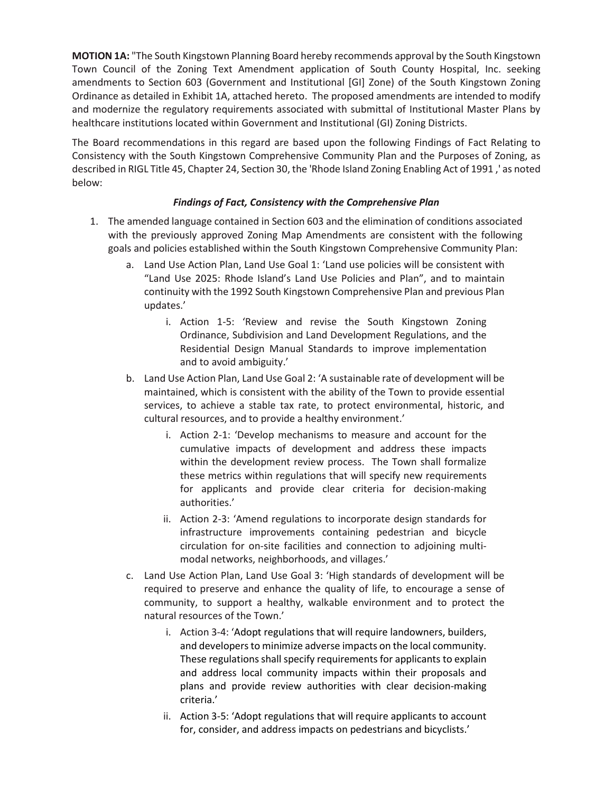**MOTION 1A:** "The South Kingstown Planning Board hereby recommends approval by the South Kingstown Town Council of the Zoning Text Amendment application of South County Hospital, Inc. seeking amendments to Section 603 (Government and Institutional [GI] Zone) of the South Kingstown Zoning Ordinance as detailed in Exhibit 1A, attached hereto. The proposed amendments are intended to modify and modernize the regulatory requirements associated with submittal of Institutional Master Plans by healthcare institutions located within Government and Institutional (GI) Zoning Districts.

The Board recommendations in this regard are based upon the following Findings of Fact Relating to Consistency with the South Kingstown Comprehensive Community Plan and the Purposes of Zoning, as described in RIGL Title 45, Chapter 24, Section 30, the 'Rhode Island Zoning Enabling Act of 1991 ,' as noted below:

## *Findings of Fact, Consistency with the Comprehensive Plan*

- 1. The amended language contained in Section 603 and the elimination of conditions associated with the previously approved Zoning Map Amendments are consistent with the following goals and policies established within the South Kingstown Comprehensive Community Plan:
	- a. Land Use Action Plan, Land Use Goal 1: 'Land use policies will be consistent with "Land Use 2025: Rhode Island's Land Use Policies and Plan", and to maintain continuity with the 1992 South Kingstown Comprehensive Plan and previous Plan updates.'
		- i. Action 1-5: 'Review and revise the South Kingstown Zoning Ordinance, Subdivision and Land Development Regulations, and the Residential Design Manual Standards to improve implementation and to avoid ambiguity.'
	- b. Land Use Action Plan, Land Use Goal 2: 'A sustainable rate of development will be maintained, which is consistent with the ability of the Town to provide essential services, to achieve a stable tax rate, to protect environmental, historic, and cultural resources, and to provide a healthy environment.'
		- i. Action 2-1: 'Develop mechanisms to measure and account for the cumulative impacts of development and address these impacts within the development review process. The Town shall formalize these metrics within regulations that will specify new requirements for applicants and provide clear criteria for decision-making authorities.'
		- ii. Action 2-3: 'Amend regulations to incorporate design standards for infrastructure improvements containing pedestrian and bicycle circulation for on-site facilities and connection to adjoining multimodal networks, neighborhoods, and villages.'
	- c. Land Use Action Plan, Land Use Goal 3: 'High standards of development will be required to preserve and enhance the quality of life, to encourage a sense of community, to support a healthy, walkable environment and to protect the natural resources of the Town.'
		- i. Action 3-4: 'Adopt regulations that will require landowners, builders, and developers to minimize adverse impacts on the local community. These regulations shall specify requirements for applicants to explain and address local community impacts within their proposals and plans and provide review authorities with clear decision-making criteria.'
		- ii. Action 3-5: 'Adopt regulations that will require applicants to account for, consider, and address impacts on pedestrians and bicyclists.'